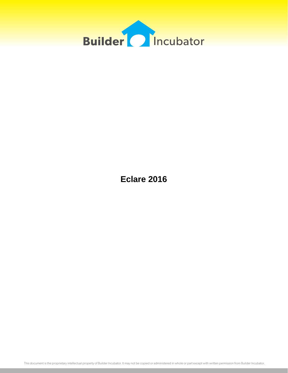

**Eclare 2016**

This document is the proprietary intellectual property of Builder Incubator. It may not be copied or administered in whole or part except with written permission from Builder Incubator.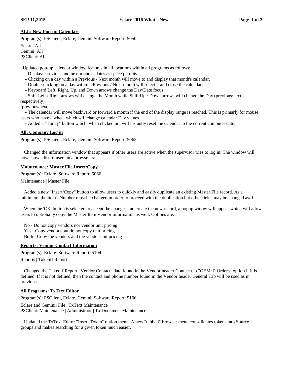# **ALL: New Pop-up Calendars**

Program(s): PSClient, Eclare, Gemini Software Report: 5050

Eclare: All Gemini: All PSClient: All

Updated pop-up calendar window features in all locations within all programs as follows:

- Displays previous and next month's dates as space permits.

- Clicking on a day within a Previous / Next month will move to and display that month's calendar.

- Double-clicking on a day within a Previous / Next month will select it and close the calendar.

- Keyboard Left, Right, Up, and Down arrows change the Day/Date focus.

- Shift Left / Right arrows will change the Month while Shift Up / Down arrows will change the Day (previous/next,

respectively).

(previous/next

- The calendar will move backward or forward a month if the end of the display range is reached. This is primarly for mouse users who have a wheel which will change calendar Day values.

- Added a "Today" button which, when clicked on, will instantly reset the calendar to the current computer date.

# **All: Company Log in**

Program(s): PSClient, Eclare, Gemini Software Report: 5063

Changed the information window that appears if other users are active when the supervisor tries to log in. The window will now show a list of users in a browse list.

### **Maintenance: Master File Insert/Copy**

Program(s): Eclare Software Report: 5066

Maintenance | Master File

Added a new "Insert/Copy" button to allow users to quickly and easily duplicate an existing Master File record. As a minimum, the item's Number must be changed in order to proceed with the duplication but other fields may be changed as/if

When the 'OK' button is selected to accept the changes and create the new record, a popup widow will appear which will allow users to optionally copy the Master Item Vendor information as well. Options are:

No - Do not copy vendors nor vendor unit pricing Yes - Copy vendors but do not copy unit pricing Both - Copy the vendors and the vendor unit pricing

### **Reports: Vendor Contact Information**

Program(s): Eclare Software Report: 5104

Reports | Takeoff Report

Changed the Takeoff Report "Vendor Contact" data found in the Vendor header Contact tab "GEM: P.Orders" option if it is defined. If it is not defined, then the contact and phone number found in the Vendor header General Tab will be used as in previous

# **All Programs: TxText Editor**

Program(s): PSClient, Eclare, Gemini Software Report: 5106 Eclare and Gemini: File | TxText Maintenance PSClient: Maintenance | Administraor | Tx Document Maintenance

Updated the TxText Editor "Insert Token" option menu. A new "tabbed" browser menu consolidates tokens into Source groups and makes searching for a given token much easier.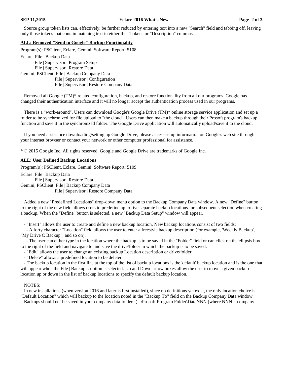### **SEP 11,2015 Eclare 2016 What's New Page 2 of 3**

Source group token lists can, effectively, be further reduced by entering text into a new "Search" field and tabbing off, leaving only those tokens that contain matching text in either the "Token" or "Description" columns.

# **ALL: Removed "Send to Google" Backup Functionality**

Program(s): PSClient, Eclare, Gemini Software Report: 5108 Eclare: File | Backup Data File | Supervisor | Program Setup File | Supervisor | Restore Data Gemini, PSClient: File | Backup Company Data File | Supervisor | Configuration File | Supervisor | Restore Company Data

Removed all Google (TM)\* related configuration, backup, and restore functionality from all our programs. Google has changed their authentication interface and it will no longer accept the authentication process used in our programs.

There is a "work-around". Users can download Google's Google Drive (TM)\* online storage service application and set up a folder to be synchronized for file upload to "the cloud". Users can then make a backup through their Prosoft program's backup function and save it in the synchronized folder. The Google Drive application will automatically upload/save it to the cloud.

If you need assistance downloading/setting up Google Drive, please access setup information on Google's web site through your internet browser or contact your network or other computer professional for assistance.

\* © 2015 Google Inc. All rights reserved. Google and Google Drive are trademarks of Google Inc.

# **ALL: User Defined Backup Locations**

Program(s): PSClient, Eclare, Gemini Software Report: 5109

Eclare: File | Backup Data File | Supervisor | Restore Data Gemini, PSClient: File | Backup Company Data File | Supervisor | Restore Company Data

Added a new "Predefined Locations" drop-down menu option to the Backup Company Data window. A new "Define" button to the right of the new field allows users to predefine up to five separate backup locations for subsequent selection when creating a backup. When the "Define" button is selected, a new "Backup Data Setup" window will appear.

- "Insert" allows the user to create and define a new backup location. New backup locations consist of two fields:

- A forty character "Location" field allows the user to enter a freestyle backup description (for example, 'Weekly Backup', "My Drive C Backup", and so on).

- The user can either type in the location where the backup is to be saved in the "Folder" field or can click on the ellipsis box to the right of the field and navigate to and save the drive/folder in which the backup is to be saved.

- "Edit" allows the user to change an existing backup Location description or drive/folder.

- "Delete" allows a predefined location to be deleted.

- The backup location in the first line at the top of the list of backup locations is the 'default' backup location and is the one that will appear when the File | Backup... option is selected. Up and Down arrow boxes allow the user to move a given backup location up or down in the list of backup locations to specify the default backup location.

### NOTES:

In new installations (when version 2016 and later is first installed), since no definitions yet exist, the only location choice is "Default Location" which will backup to the location noted in the "Backup To" field on the Backup Company Data window.

Backups should not be saved in your company data folders (...\Prosoft Program Folder\DataNNN (where NNN = company